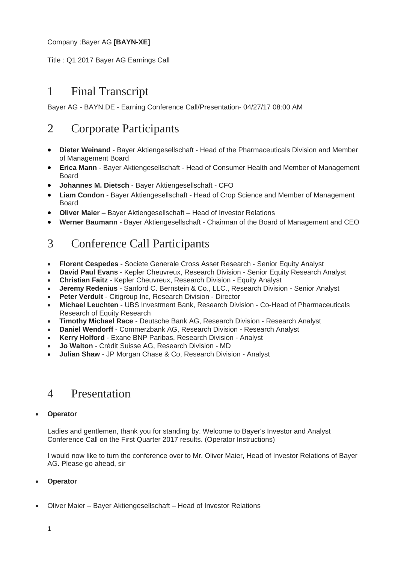## Company :Bayer AG **[BAYN-XE]**

Title : Q1 2017 Bayer AG Earnings Call

# 1 Final Transcript

Bayer AG - BAYN.DE - Earning Conference Call/Presentation- 04/27/17 08:00 AM

# 2 Corporate Participants

- **Dieter Weinand** Bayer Aktiengesellschaft Head of the Pharmaceuticals Division and Member of Management Board
- **Erica Mann** Bayer Aktiengesellschaft Head of Consumer Health and Member of Management Board
- **Johannes M. Dietsch** Bayer Aktiengesellschaft CFO
- **Liam Condon** Bayer Aktiengesellschaft Head of Crop Science and Member of Management Board
- **Oliver Maier** Bayer Aktiengesellschaft Head of Investor Relations
- **Werner Baumann** Bayer Aktiengesellschaft Chairman of the Board of Management and CEO

# 3 Conference Call Participants

- **Florent Cespedes** Societe Generale Cross Asset Research Senior Equity Analyst
- **David Paul Evans** Kepler Cheuvreux, Research Division Senior Equity Research Analyst
- **Christian Faitz** Kepler Cheuvreux, Research Division Equity Analyst
- **Jeremy Redenius** Sanford C. Bernstein & Co., LLC., Research Division Senior Analyst
- **Peter Verdult** Citigroup Inc, Research Division Director
- **Michael Leuchten** UBS Investment Bank, Research Division Co-Head of Pharmaceuticals Research of Equity Research
- **Timothy Michael Race** Deutsche Bank AG, Research Division Research Analyst
- **Daniel Wendorff** Commerzbank AG, Research Division Research Analyst
- **Kerry Holford** Exane BNP Paribas, Research Division Analyst
- **Jo Walton** Crédit Suisse AG, Research Division MD
- **Julian Shaw** JP Morgan Chase & Co, Research Division Analyst

## 4 Presentation

## **Operator**

Ladies and gentlemen, thank you for standing by. Welcome to Bayer's Investor and Analyst Conference Call on the First Quarter 2017 results. (Operator Instructions)

I would now like to turn the conference over to Mr. Oliver Maier, Head of Investor Relations of Bayer AG. Please go ahead, sir

## **Operator**

Oliver Maier – Bayer Aktiengesellschaft – Head of Investor Relations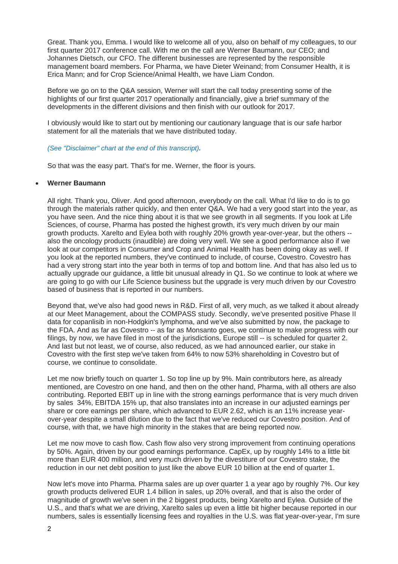Great. Thank you, Emma. I would like to welcome all of you, also on behalf of my colleagues, to our first quarter 2017 conference call. With me on the call are Werner Baumann, our CEO; and Johannes Dietsch, our CFO. The different businesses are represented by the responsible management board members. For Pharma, we have Dieter Weinand; from Consumer Health, it is Erica Mann; and for Crop Science/Animal Health, we have Liam Condon.

Before we go on to the Q&A session, Werner will start the call today presenting some of the highlights of our first quarter 2017 operationally and financially, give a brief summary of the developments in the different divisions and then finish with our outlook for 2017.

I obviously would like to start out by mentioning our cautionary language that is our safe harbor statement for all the materials that we have distributed today.

#### *[\(See "Disclaimer" chart at the end of this transcript\)](#page-14-0).*

So that was the easy part. That's for me. Werner, the floor is yours.

#### **Werner Baumann**

All right. Thank you, Oliver. And good afternoon, everybody on the call. What I'd like to do is to go through the materials rather quickly, and then enter Q&A. We had a very good start into the year, as you have seen. And the nice thing about it is that we see growth in all segments. If you look at Life Sciences, of course, Pharma has posted the highest growth, it's very much driven by our main growth products. Xarelto and Eylea both with roughly 20% growth year-over-year, but the others - also the oncology products (inaudible) are doing very well. We see a good performance also if we look at our competitors in Consumer and Crop and Animal Health has been doing okay as well. If you look at the reported numbers, they've continued to include, of course, Covestro. Covestro has had a very strong start into the year both in terms of top and bottom line. And that has also led us to actually upgrade our guidance, a little bit unusual already in Q1. So we continue to look at where we are going to go with our Life Science business but the upgrade is very much driven by our Covestro based of business that is reported in our numbers.

Beyond that, we've also had good news in R&D. First of all, very much, as we talked it about already at our Meet Management, about the COMPASS study. Secondly, we've presented positive Phase II data for copanlisib in non-Hodgkin's lymphoma, and we've also submitted by now, the package to the FDA. And as far as Covestro -- as far as Monsanto goes, we continue to make progress with our filings, by now, we have filed in most of the jurisdictions, Europe still -- is scheduled for quarter 2. And last but not least, we of course, also reduced, as we had announced earlier, our stake in Covestro with the first step we've taken from 64% to now 53% shareholding in Covestro but of course, we continue to consolidate.

Let me now briefly touch on quarter 1. So top line up by 9%. Main contributors here, as already mentioned, are Covestro on one hand, and then on the other hand, Pharma, with all others are also contributing. Reported EBIT up in line with the strong earnings performance that is very much driven by sales 34%, EBITDA 15% up, that also translates into an increase in our adjusted earnings per share or core earnings per share, which advanced to EUR 2.62, which is an 11% increase yearover-year despite a small dilution due to the fact that we've reduced our Covestro position. And of course, with that, we have high minority in the stakes that are being reported now.

Let me now move to cash flow. Cash flow also very strong improvement from continuing operations by 50%. Again, driven by our good earnings performance. CapEx, up by roughly 14% to a little bit more than EUR 400 million, and very much driven by the divestiture of our Covestro stake, the reduction in our net debt position to just like the above EUR 10 billion at the end of quarter 1.

Now let's move into Pharma. Pharma sales are up over quarter 1 a year ago by roughly 7%. Our key growth products delivered EUR 1.4 billion in sales, up 20% overall, and that is also the order of magnitude of growth we've seen in the 2 biggest products, being Xarelto and Eylea. Outside of the U.S., and that's what we are driving, Xarelto sales up even a little bit higher because reported in our numbers, sales is essentially licensing fees and royalties in the U.S. was flat year-over-year, I'm sure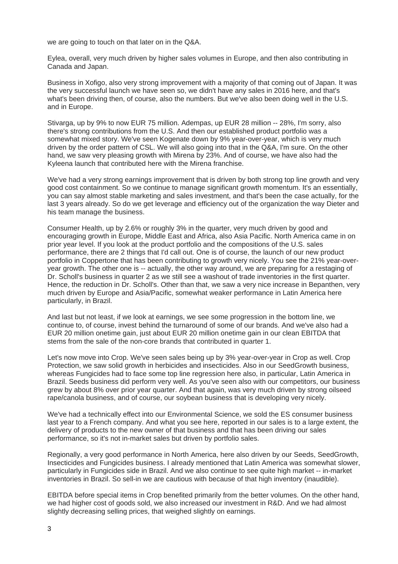we are going to touch on that later on in the Q&A.

Eylea, overall, very much driven by higher sales volumes in Europe, and then also contributing in Canada and Japan.

Business in Xofigo, also very strong improvement with a majority of that coming out of Japan. It was the very successful launch we have seen so, we didn't have any sales in 2016 here, and that's what's been driving then, of course, also the numbers. But we've also been doing well in the U.S. and in Europe.

Stivarga, up by 9% to now EUR 75 million. Adempas, up EUR 28 million -- 28%, I'm sorry, also there's strong contributions from the U.S. And then our established product portfolio was a somewhat mixed story. We've seen Kogenate down by 9% year-over-year, which is very much driven by the order pattern of CSL. We will also going into that in the Q&A, I'm sure. On the other hand, we saw very pleasing growth with Mirena by 23%. And of course, we have also had the Kyleena launch that contributed here with the Mirena franchise.

We've had a very strong earnings improvement that is driven by both strong top line growth and very good cost containment. So we continue to manage significant growth momentum. It's an essentially, you can say almost stable marketing and sales investment, and that's been the case actually, for the last 3 years already. So do we get leverage and efficiency out of the organization the way Dieter and his team manage the business.

Consumer Health, up by 2.6% or roughly 3% in the quarter, very much driven by good and encouraging growth in Europe, Middle East and Africa, also Asia Pacific. North America came in on prior year level. If you look at the product portfolio and the compositions of the U.S. sales performance, there are 2 things that I'd call out. One is of course, the launch of our new product portfolio in Coppertone that has been contributing to growth very nicely. You see the 21% year-overyear growth. The other one is -- actually, the other way around, we are preparing for a restaging of Dr. Scholl's business in quarter 2 as we still see a washout of trade inventories in the first quarter. Hence, the reduction in Dr. Scholl's. Other than that, we saw a very nice increase in Bepanthen, very much driven by Europe and Asia/Pacific, somewhat weaker performance in Latin America here particularly, in Brazil.

And last but not least, if we look at earnings, we see some progression in the bottom line, we continue to, of course, invest behind the turnaround of some of our brands. And we've also had a EUR 20 million onetime gain, just about EUR 20 million onetime gain in our clean EBITDA that stems from the sale of the non-core brands that contributed in quarter 1.

Let's now move into Crop. We've seen sales being up by 3% year-over-year in Crop as well. Crop Protection, we saw solid growth in herbicides and insecticides. Also in our SeedGrowth business, whereas Fungicides had to face some top line regression here also, in particular, Latin America in Brazil. Seeds business did perform very well. As you've seen also with our competitors, our business grew by about 8% over prior year quarter. And that again, was very much driven by strong oilseed rape/canola business, and of course, our soybean business that is developing very nicely.

We've had a technically effect into our Environmental Science, we sold the ES consumer business last year to a French company. And what you see here, reported in our sales is to a large extent, the delivery of products to the new owner of that business and that has been driving our sales performance, so it's not in-market sales but driven by portfolio sales.

Regionally, a very good performance in North America, here also driven by our Seeds, SeedGrowth, Insecticides and Fungicides business. I already mentioned that Latin America was somewhat slower, particularly in Fungicides side in Brazil. And we also continue to see quite high market -- in-market inventories in Brazil. So sell-in we are cautious with because of that high inventory (inaudible).

EBITDA before special items in Crop benefited primarily from the better volumes. On the other hand, we had higher cost of goods sold, we also increased our investment in R&D. And we had almost slightly decreasing selling prices, that weighed slightly on earnings.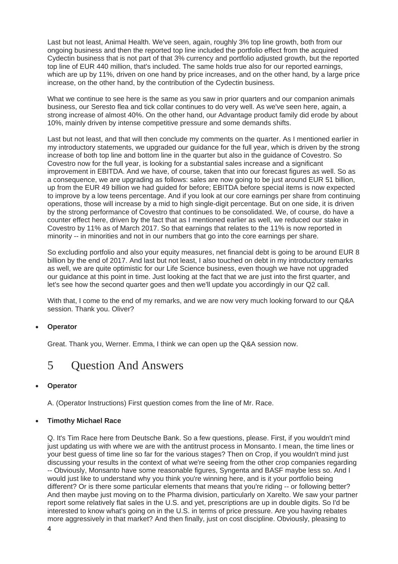Last but not least, Animal Health. We've seen, again, roughly 3% top line growth, both from our ongoing business and then the reported top line included the portfolio effect from the acquired Cydectin business that is not part of that 3% currency and portfolio adjusted growth, but the reported top line of EUR 440 million, that's included. The same holds true also for our reported earnings, which are up by 11%, driven on one hand by price increases, and on the other hand, by a large price increase, on the other hand, by the contribution of the Cydectin business.

What we continue to see here is the same as you saw in prior quarters and our companion animals business, our Seresto flea and tick collar continues to do very well. As we've seen here, again, a strong increase of almost 40%. On the other hand, our Advantage product family did erode by about 10%, mainly driven by intense competitive pressure and some demands shifts.

Last but not least, and that will then conclude my comments on the quarter. As I mentioned earlier in my introductory statements, we upgraded our guidance for the full year, which is driven by the strong increase of both top line and bottom line in the quarter but also in the guidance of Covestro. So Covestro now for the full year, is looking for a substantial sales increase and a significant improvement in EBITDA. And we have, of course, taken that into our forecast figures as well. So as a consequence, we are upgrading as follows: sales are now going to be just around EUR 51 billion, up from the EUR 49 billion we had guided for before; EBITDA before special items is now expected to improve by a low teens percentage. And if you look at our core earnings per share from continuing operations, those will increase by a mid to high single-digit percentage. But on one side, it is driven by the strong performance of Covestro that continues to be consolidated. We, of course, do have a counter effect here, driven by the fact that as I mentioned earlier as well, we reduced our stake in Covestro by 11% as of March 2017. So that earnings that relates to the 11% is now reported in minority -- in minorities and not in our numbers that go into the core earnings per share.

So excluding portfolio and also your equity measures, net financial debt is going to be around EUR 8 billion by the end of 2017. And last but not least, I also touched on debt in my introductory remarks as well, we are quite optimistic for our Life Science business, even though we have not upgraded our guidance at this point in time. Just looking at the fact that we are just into the first quarter, and let's see how the second quarter goes and then we'll update you accordingly in our Q2 call.

With that, I come to the end of my remarks, and we are now very much looking forward to our Q&A session. Thank you. Oliver?

## **Operator**

Great. Thank you, Werner. Emma, I think we can open up the Q&A session now.

# 5 Question And Answers

## **Operator**

A. (Operator Instructions) First question comes from the line of Mr. Race.

## **Timothy Michael Race**

Q. It's Tim Race here from Deutsche Bank. So a few questions, please. First, if you wouldn't mind just updating us with where we are with the antitrust process in Monsanto. I mean, the time lines or your best guess of time line so far for the various stages? Then on Crop, if you wouldn't mind just discussing your results in the context of what we're seeing from the other crop companies regarding -- Obviously, Monsanto have some reasonable figures, Syngenta and BASF maybe less so. And I would just like to understand why you think you're winning here, and is it your portfolio being different? Or is there some particular elements that means that you're riding -- or following better? And then maybe just moving on to the Pharma division, particularly on Xarelto. We saw your partner report some relatively flat sales in the U.S. and yet, prescriptions are up in double digits. So I'd be interested to know what's going on in the U.S. in terms of price pressure. Are you having rebates more aggressively in that market? And then finally, just on cost discipline. Obviously, pleasing to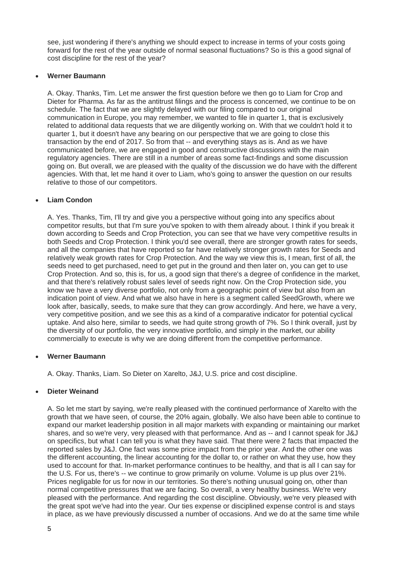see, just wondering if there's anything we should expect to increase in terms of your costs going forward for the rest of the year outside of normal seasonal fluctuations? So is this a good signal of cost discipline for the rest of the year?

#### **Werner Baumann**

A. Okay. Thanks, Tim. Let me answer the first question before we then go to Liam for Crop and Dieter for Pharma. As far as the antitrust filings and the process is concerned, we continue to be on schedule. The fact that we are slightly delayed with our filing compared to our original communication in Europe, you may remember, we wanted to file in quarter 1, that is exclusively related to additional data requests that we are diligently working on. With that we couldn't hold it to quarter 1, but it doesn't have any bearing on our perspective that we are going to close this transaction by the end of 2017. So from that -- and everything stays as is. And as we have communicated before, we are engaged in good and constructive discussions with the main regulatory agencies. There are still in a number of areas some fact-findings and some discussion going on. But overall, we are pleased with the quality of the discussion we do have with the different agencies. With that, let me hand it over to Liam, who's going to answer the question on our results relative to those of our competitors.

## **Liam Condon**

A. Yes. Thanks, Tim, I'll try and give you a perspective without going into any specifics about competitor results, but that I'm sure you've spoken to with them already about. I think if you break it down according to Seeds and Crop Protection, you can see that we have very competitive results in both Seeds and Crop Protection. I think you'd see overall, there are stronger growth rates for seeds, and all the companies that have reported so far have relatively stronger growth rates for Seeds and relatively weak growth rates for Crop Protection. And the way we view this is, I mean, first of all, the seeds need to get purchased, need to get put in the ground and then later on, you can get to use Crop Protection. And so, this is, for us, a good sign that there's a degree of confidence in the market, and that there's relatively robust sales level of seeds right now. On the Crop Protection side, you know we have a very diverse portfolio, not only from a geographic point of view but also from an indication point of view. And what we also have in here is a segment called SeedGrowth, where we look after, basically, seeds, to make sure that they can grow accordingly. And here, we have a very, very competitive position, and we see this as a kind of a comparative indicator for potential cyclical uptake. And also here, similar to seeds, we had quite strong growth of 7%. So I think overall, just by the diversity of our portfolio, the very innovative portfolio, and simply in the market, our ability commercially to execute is why we are doing different from the competitive performance.

## **Werner Baumann**

A. Okay. Thanks, Liam. So Dieter on Xarelto, J&J, U.S. price and cost discipline.

## **Dieter Weinand**

A. So let me start by saying, we're really pleased with the continued performance of Xarelto with the growth that we have seen, of course, the 20% again, globally. We also have been able to continue to expand our market leadership position in all major markets with expanding or maintaining our market shares, and so we're very, very pleased with that performance. And as -- and I cannot speak for J&J on specifics, but what I can tell you is what they have said. That there were 2 facts that impacted the reported sales by J&J. One fact was some price impact from the prior year. And the other one was the different accounting, the linear accounting for the dollar to, or rather on what they use, how they used to account for that. In-market performance continues to be healthy, and that is all I can say for the U.S. For us, there's -- we continue to grow primarily on volume. Volume is up plus over 21%. Prices negligable for us for now in our territories. So there's nothing unusual going on, other than normal competitive pressures that we are facing. So overall, a very healthy business. We're very pleased with the performance. And regarding the cost discipline. Obviously, we're very pleased with the great spot we've had into the year. Our ties expense or disciplined expense control is and stays in place, as we have previously discussed a number of occasions. And we do at the same time while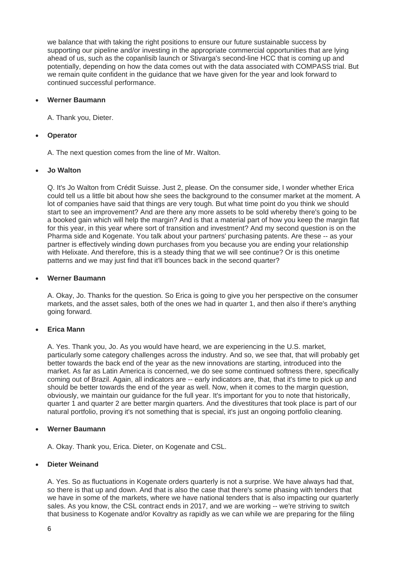we balance that with taking the right positions to ensure our future sustainable success by supporting our pipeline and/or investing in the appropriate commercial opportunities that are lying ahead of us, such as the copanlisib launch or Stivarga's second-line HCC that is coming up and potentially, depending on how the data comes out with the data associated with COMPASS trial. But we remain quite confident in the guidance that we have given for the year and look forward to continued successful performance.

#### **Werner Baumann**

A. Thank you, Dieter.

## **Operator**

A. The next question comes from the line of Mr. Walton.

## **Jo Walton**

Q. It's Jo Walton from Crédit Suisse. Just 2, please. On the consumer side, I wonder whether Erica could tell us a little bit about how she sees the background to the consumer market at the moment. A lot of companies have said that things are very tough. But what time point do you think we should start to see an improvement? And are there any more assets to be sold whereby there's going to be a booked gain which will help the margin? And is that a material part of how you keep the margin flat for this year, in this year where sort of transition and investment? And my second question is on the Pharma side and Kogenate. You talk about your partners' purchasing patents. Are these -- as your partner is effectively winding down purchases from you because you are ending your relationship with Helixate. And therefore, this is a steady thing that we will see continue? Or is this onetime patterns and we may just find that it'll bounces back in the second quarter?

#### **Werner Baumann**

A. Okay, Jo. Thanks for the question. So Erica is going to give you her perspective on the consumer markets, and the asset sales, both of the ones we had in quarter 1, and then also if there's anything going forward.

## **Erica Mann**

A. Yes. Thank you, Jo. As you would have heard, we are experiencing in the U.S. market, particularly some category challenges across the industry. And so, we see that, that will probably get better towards the back end of the year as the new innovations are starting, introduced into the market. As far as Latin America is concerned, we do see some continued softness there, specifically coming out of Brazil. Again, all indicators are -- early indicators are, that, that it's time to pick up and should be better towards the end of the year as well. Now, when it comes to the margin question, obviously, we maintain our guidance for the full year. It's important for you to note that historically, quarter 1 and quarter 2 are better margin quarters. And the divestitures that took place is part of our natural portfolio, proving it's not something that is special, it's just an ongoing portfolio cleaning.

## **Werner Baumann**

A. Okay. Thank you, Erica. Dieter, on Kogenate and CSL.

## **Dieter Weinand**

A. Yes. So as fluctuations in Kogenate orders quarterly is not a surprise. We have always had that, so there is that up and down. And that is also the case that there's some phasing with tenders that we have in some of the markets, where we have national tenders that is also impacting our quarterly sales. As you know, the CSL contract ends in 2017, and we are working -- we're striving to switch that business to Kogenate and/or Kovaltry as rapidly as we can while we are preparing for the filing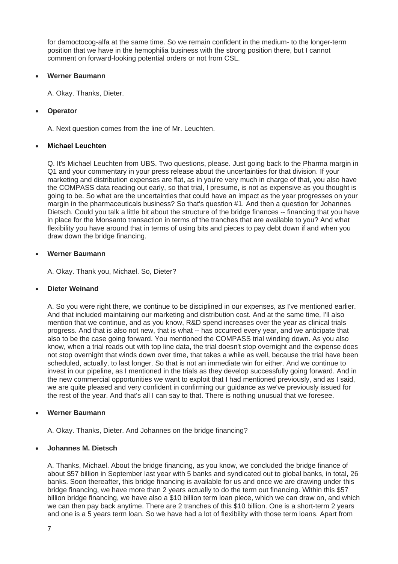for damoctocog-alfa at the same time. So we remain confident in the medium- to the longer-term position that we have in the hemophilia business with the strong position there, but I cannot comment on forward-looking potential orders or not from CSL.

## **Werner Baumann**

A. Okay. Thanks, Dieter.

## **Operator**

A. Next question comes from the line of Mr. Leuchten.

## **Michael Leuchten**

Q. It's Michael Leuchten from UBS. Two questions, please. Just going back to the Pharma margin in Q1 and your commentary in your press release about the uncertainties for that division. If your marketing and distribution expenses are flat, as in you're very much in charge of that, you also have the COMPASS data reading out early, so that trial, I presume, is not as expensive as you thought is going to be. So what are the uncertainties that could have an impact as the year progresses on your margin in the pharmaceuticals business? So that's question #1. And then a question for Johannes Dietsch. Could you talk a little bit about the structure of the bridge finances -- financing that you have in place for the Monsanto transaction in terms of the tranches that are available to you? And what flexibility you have around that in terms of using bits and pieces to pay debt down if and when you draw down the bridge financing.

#### **Werner Baumann**

A. Okay. Thank you, Michael. So, Dieter?

#### **Dieter Weinand**

A. So you were right there, we continue to be disciplined in our expenses, as I've mentioned earlier. And that included maintaining our marketing and distribution cost. And at the same time, I'll also mention that we continue, and as you know, R&D spend increases over the year as clinical trials progress. And that is also not new, that is what -- has occurred every year, and we anticipate that also to be the case going forward. You mentioned the COMPASS trial winding down. As you also know, when a trial reads out with top line data, the trial doesn't stop overnight and the expense does not stop overnight that winds down over time, that takes a while as well, because the trial have been scheduled, actually, to last longer. So that is not an immediate win for either. And we continue to invest in our pipeline, as I mentioned in the trials as they develop successfully going forward. And in the new commercial opportunities we want to exploit that I had mentioned previously, and as I said, we are quite pleased and very confident in confirming our guidance as we've previously issued for the rest of the year. And that's all I can say to that. There is nothing unusual that we foresee.

#### **Werner Baumann**

A. Okay. Thanks, Dieter. And Johannes on the bridge financing?

## **Johannes M. Dietsch**

A. Thanks, Michael. About the bridge financing, as you know, we concluded the bridge finance of about \$57 billion in September last year with 5 banks and syndicated out to global banks, in total, 26 banks. Soon thereafter, this bridge financing is available for us and once we are drawing under this bridge financing, we have more than 2 years actually to do the term out financing. Within this \$57 billion bridge financing, we have also a \$10 billion term loan piece, which we can draw on, and which we can then pay back anytime. There are 2 tranches of this \$10 billion. One is a short-term 2 years and one is a 5 years term loan. So we have had a lot of flexibility with those term loans. Apart from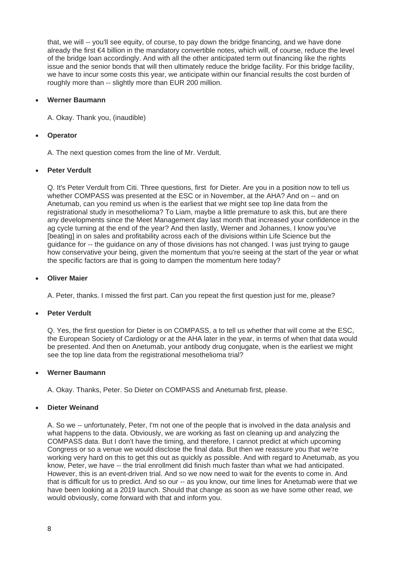that, we will -- you'll see equity, of course, to pay down the bridge financing, and we have done already the first €4 billion in the mandatory convertible notes, which will, of course, reduce the level of the bridge loan accordingly. And with all the other anticipated term out financing like the rights issue and the senior bonds that will then ultimately reduce the bridge facility. For this bridge facility, we have to incur some costs this year, we anticipate within our financial results the cost burden of roughly more than -- slightly more than EUR 200 million.

#### **Werner Baumann**

A. Okay. Thank you, (inaudible)

## **Operator**

A. The next question comes from the line of Mr. Verdult.

## **Peter Verdult**

Q. It's Peter Verdult from Citi. Three questions, first for Dieter. Are you in a position now to tell us whether COMPASS was presented at the ESC or in November, at the AHA? And on -- and on Anetumab, can you remind us when is the earliest that we might see top line data from the registrational study in mesothelioma? To Liam, maybe a little premature to ask this, but are there any developments since the Meet Management day last month that increased your confidence in the ag cycle turning at the end of the year? And then lastly, Werner and Johannes, I know you've [beating] in on sales and profitability across each of the divisions within Life Science but the guidance for -- the guidance on any of those divisions has not changed. I was just trying to gauge how conservative your being, given the momentum that you're seeing at the start of the year or what the specific factors are that is going to dampen the momentum here today?

#### **Oliver Maier**

A. Peter, thanks. I missed the first part. Can you repeat the first question just for me, please?

#### **Peter Verdult**

Q. Yes, the first question for Dieter is on COMPASS, a to tell us whether that will come at the ESC, the European Society of Cardiology or at the AHA later in the year, in terms of when that data would be presented. And then on Anetumab, your antibody drug conjugate, when is the earliest we might see the top line data from the registrational mesothelioma trial?

#### **Werner Baumann**

A. Okay. Thanks, Peter. So Dieter on COMPASS and Anetumab first, please.

## **Dieter Weinand**

A. So we -- unfortunately, Peter, I'm not one of the people that is involved in the data analysis and what happens to the data. Obviously, we are working as fast on cleaning up and analyzing the COMPASS data. But I don't have the timing, and therefore, I cannot predict at which upcoming Congress or so a venue we would disclose the final data. But then we reassure you that we're working very hard on this to get this out as quickly as possible. And with regard to Anetumab, as you know, Peter, we have -- the trial enrollment did finish much faster than what we had anticipated. However, this is an event-driven trial. And so we now need to wait for the events to come in. And that is difficult for us to predict. And so our -- as you know, our time lines for Anetumab were that we have been looking at a 2019 launch. Should that change as soon as we have some other read, we would obviously, come forward with that and inform you.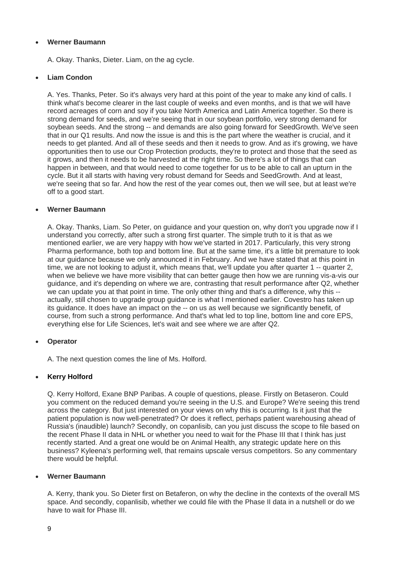A. Okay. Thanks, Dieter. Liam, on the ag cycle.

## **Liam Condon**

A. Yes. Thanks, Peter. So it's always very hard at this point of the year to make any kind of calls. I think what's become clearer in the last couple of weeks and even months, and is that we will have record acreages of corn and soy if you take North America and Latin America together. So there is strong demand for seeds, and we're seeing that in our soybean portfolio, very strong demand for soybean seeds. And the strong -- and demands are also going forward for SeedGrowth. We've seen that in our Q1 results. And now the issue is and this is the part where the weather is crucial, and it needs to get planted. And all of these seeds and then it needs to grow. And as it's growing, we have opportunities then to use our Crop Protection products, they're to protect and those that the seed as it grows, and then it needs to be harvested at the right time. So there's a lot of things that can happen in between, and that would need to come together for us to be able to call an upturn in the cycle. But it all starts with having very robust demand for Seeds and SeedGrowth. And at least, we're seeing that so far. And how the rest of the year comes out, then we will see, but at least we're off to a good start.

#### **Werner Baumann**

A. Okay. Thanks, Liam. So Peter, on guidance and your question on, why don't you upgrade now if I understand you correctly, after such a strong first quarter. The simple truth to it is that as we mentioned earlier, we are very happy with how we've started in 2017. Particularly, this very strong Pharma performance, both top and bottom line. But at the same time, it's a little bit premature to look at our guidance because we only announced it in February. And we have stated that at this point in time, we are not looking to adjust it, which means that, we'll update you after quarter 1 -- quarter 2, when we believe we have more visibility that can better gauge then how we are running vis-a-vis our guidance, and it's depending on where we are, contrasting that result performance after Q2, whether we can update you at that point in time. The only other thing and that's a difference, why this - actually, still chosen to upgrade group guidance is what I mentioned earlier. Covestro has taken up its guidance. It does have an impact on the -- on us as well because we significantly benefit, of course, from such a strong performance. And that's what led to top line, bottom line and core EPS, everything else for Life Sciences, let's wait and see where we are after Q2.

#### **Operator**

A. The next question comes the line of Ms. Holford.

#### **Kerry Holford**

Q. Kerry Holford, Exane BNP Paribas. A couple of questions, please. Firstly on Betaseron. Could you comment on the reduced demand you're seeing in the U.S. and Europe? We're seeing this trend across the category. But just interested on your views on why this is occurring. Is it just that the patient population is now well-penetrated? Or does it reflect, perhaps patient warehousing ahead of Russia's (inaudible) launch? Secondly, on copanlisib, can you just discuss the scope to file based on the recent Phase II data in NHL or whether you need to wait for the Phase III that I think has just recently started. And a great one would be on Animal Health, any strategic update here on this business? Kyleena's performing well, that remains upscale versus competitors. So any commentary there would be helpful.

#### **Werner Baumann**

A. Kerry, thank you. So Dieter first on Betaferon, on why the decline in the contexts of the overall MS space. And secondly, copanlisib, whether we could file with the Phase II data in a nutshell or do we have to wait for Phase III.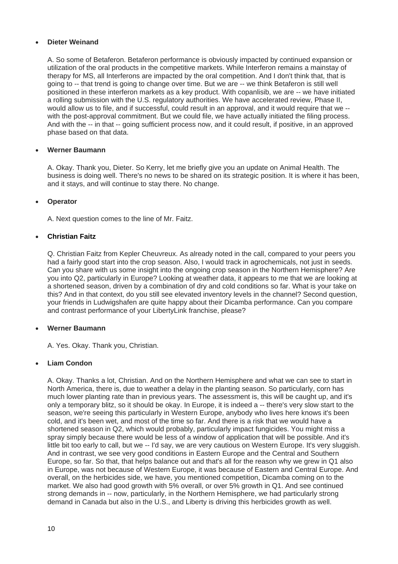## **Dieter Weinand**

A. So some of Betaferon. Betaferon performance is obviously impacted by continued expansion or utilization of the oral products in the competitive markets. While Interferon remains a mainstay of therapy for MS, all Interferons are impacted by the oral competition. And I don't think that, that is going to -- that trend is going to change over time. But we are -- we think Betaferon is still well positioned in these interferon markets as a key product. With copanlisib, we are -- we have initiated a rolling submission with the U.S. regulatory authorities. We have accelerated review, Phase II, would allow us to file, and if successful, could result in an approval, and it would require that we - with the post-approval commitment. But we could file, we have actually initiated the filing process. And with the -- in that -- going sufficient process now, and it could result, if positive, in an approved phase based on that data.

## **Werner Baumann**

A. Okay. Thank you, Dieter. So Kerry, let me briefly give you an update on Animal Health. The business is doing well. There's no news to be shared on its strategic position. It is where it has been, and it stays, and will continue to stay there. No change.

## **Operator**

A. Next question comes to the line of Mr. Faitz.

## **Christian Faitz**

Q. Christian Faitz from Kepler Cheuvreux. As already noted in the call, compared to your peers you had a fairly good start into the crop season. Also, I would track in agrochemicals, not just in seeds. Can you share with us some insight into the ongoing crop season in the Northern Hemisphere? Are you into Q2, particularly in Europe? Looking at weather data, it appears to me that we are looking at a shortened season, driven by a combination of dry and cold conditions so far. What is your take on this? And in that context, do you still see elevated inventory levels in the channel? Second question, your friends in Ludwigshafen are quite happy about their Dicamba performance. Can you compare and contrast performance of your LibertyLink franchise, please?

#### **Werner Baumann**

A. Yes. Okay. Thank you, Christian.

#### **Liam Condon**

A. Okay. Thanks a lot, Christian. And on the Northern Hemisphere and what we can see to start in North America, there is, due to weather a delay in the planting season. So particularly, corn has much lower planting rate than in previous years. The assessment is, this will be caught up, and it's only a temporary blitz, so it should be okay. In Europe, it is indeed a -- there's very slow start to the season, we're seeing this particularly in Western Europe, anybody who lives here knows it's been cold, and it's been wet, and most of the time so far. And there is a risk that we would have a shortened season in Q2, which would probably, particularly impact fungicides. You might miss a spray simply because there would be less of a window of application that will be possible. And it's little bit too early to call, but we -- I'd say, we are very cautious on Western Europe. It's very sluggish. And in contrast, we see very good conditions in Eastern Europe and the Central and Southern Europe, so far. So that, that helps balance out and that's all for the reason why we grew in Q1 also in Europe, was not because of Western Europe, it was because of Eastern and Central Europe. And overall, on the herbicides side, we have, you mentioned competition, Dicamba coming on to the market. We also had good growth with 5% overall, or over 5% growth in Q1. And see continued strong demands in -- now, particularly, in the Northern Hemisphere, we had particularly strong demand in Canada but also in the U.S., and Liberty is driving this herbicides growth as well.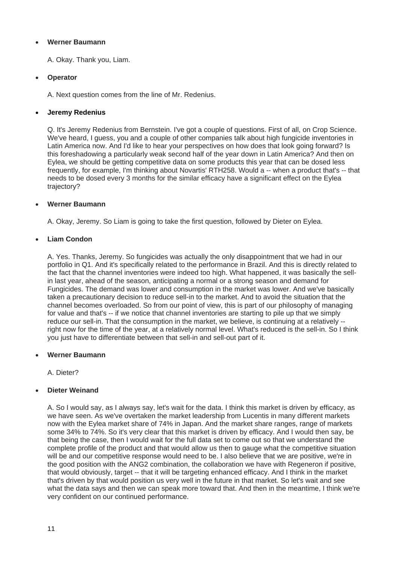A. Okay. Thank you, Liam.

## **Operator**

A. Next question comes from the line of Mr. Redenius.

## **Jeremy Redenius**

Q. It's Jeremy Redenius from Bernstein. I've got a couple of questions. First of all, on Crop Science. We've heard, I guess, you and a couple of other companies talk about high fungicide inventories in Latin America now. And I'd like to hear your perspectives on how does that look going forward? Is this foreshadowing a particularly weak second half of the year down in Latin America? And then on Eylea, we should be getting competitive data on some products this year that can be dosed less frequently, for example, I'm thinking about Novartis' RTH258. Would a -- when a product that's -- that needs to be dosed every 3 months for the similar efficacy have a significant effect on the Eylea trajectory?

#### **Werner Baumann**

A. Okay, Jeremy. So Liam is going to take the first question, followed by Dieter on Eylea.

## **Liam Condon**

A. Yes. Thanks, Jeremy. So fungicides was actually the only disappointment that we had in our portfolio in Q1. And it's specifically related to the performance in Brazil. And this is directly related to the fact that the channel inventories were indeed too high. What happened, it was basically the sellin last year, ahead of the season, anticipating a normal or a strong season and demand for Fungicides. The demand was lower and consumption in the market was lower. And we've basically taken a precautionary decision to reduce sell-in to the market. And to avoid the situation that the channel becomes overloaded. So from our point of view, this is part of our philosophy of managing for value and that's -- if we notice that channel inventories are starting to pile up that we simply reduce our sell-in. That the consumption in the market, we believe, is continuing at a relatively - right now for the time of the year, at a relatively normal level. What's reduced is the sell-in. So I think you just have to differentiate between that sell-in and sell-out part of it.

#### **Werner Baumann**

A. Dieter?

## **Dieter Weinand**

A. So I would say, as I always say, let's wait for the data. I think this market is driven by efficacy, as we have seen. As we've overtaken the market leadership from Lucentis in many different markets now with the Eylea market share of 74% in Japan. And the market share ranges, range of markets some 34% to 74%. So it's very clear that this market is driven by efficacy. And I would then say, be that being the case, then I would wait for the full data set to come out so that we understand the complete profile of the product and that would allow us then to gauge what the competitive situation will be and our competitive response would need to be. I also believe that we are positive, we're in the good position with the ANG2 combination, the collaboration we have with Regeneron if positive, that would obviously, target -- that it will be targeting enhanced efficacy. And I think in the market that's driven by that would position us very well in the future in that market. So let's wait and see what the data says and then we can speak more toward that. And then in the meantime, I think we're very confident on our continued performance.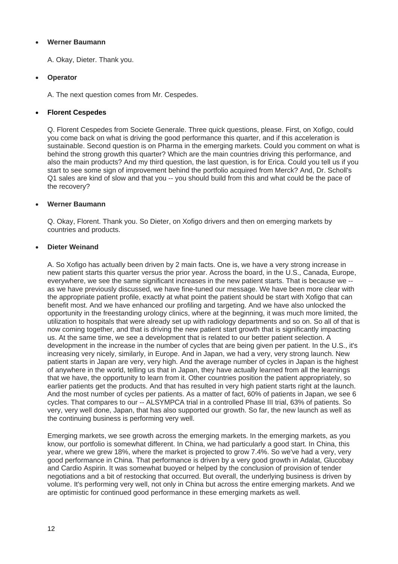A. Okay, Dieter. Thank you.

## **Operator**

A. The next question comes from Mr. Cespedes.

## **Florent Cespedes**

Q. Florent Cespedes from Societe Generale. Three quick questions, please. First, on Xofigo, could you come back on what is driving the good performance this quarter, and if this acceleration is sustainable. Second question is on Pharma in the emerging markets. Could you comment on what is behind the strong growth this quarter? Which are the main countries driving this performance, and also the main products? And my third question, the last question, is for Erica. Could you tell us if you start to see some sign of improvement behind the portfolio acquired from Merck? And, Dr. Scholl's Q1 sales are kind of slow and that you -- you should build from this and what could be the pace of the recovery?

## **Werner Baumann**

Q. Okay, Florent. Thank you. So Dieter, on Xofigo drivers and then on emerging markets by countries and products.

## **Dieter Weinand**

A. So Xofigo has actually been driven by 2 main facts. One is, we have a very strong increase in new patient starts this quarter versus the prior year. Across the board, in the U.S., Canada, Europe, everywhere, we see the same significant increases in the new patient starts. That is because we - as we have previously discussed, we have fine-tuned our message. We have been more clear with the appropriate patient profile, exactly at what point the patient should be start with Xofigo that can benefit most. And we have enhanced our profiling and targeting. And we have also unlocked the opportunity in the freestanding urology clinics, where at the beginning, it was much more limited, the utilization to hospitals that were already set up with radiology departments and so on. So all of that is now coming together, and that is driving the new patient start growth that is significantly impacting us. At the same time, we see a development that is related to our better patient selection. A development in the increase in the number of cycles that are being given per patient. In the U.S., it's increasing very nicely, similarly, in Europe. And in Japan, we had a very, very strong launch. New patient starts in Japan are very, very high. And the average number of cycles in Japan is the highest of anywhere in the world, telling us that in Japan, they have actually learned from all the learnings that we have, the opportunity to learn from it. Other countries position the patient appropriately, so earlier patients get the products. And that has resulted in very high patient starts right at the launch. And the most number of cycles per patients. As a matter of fact, 60% of patients in Japan, we see 6 cycles. That compares to our -- ALSYMPCA trial in a controlled Phase III trial, 63% of patients. So very, very well done, Japan, that has also supported our growth. So far, the new launch as well as the continuing business is performing very well.

Emerging markets, we see growth across the emerging markets. In the emerging markets, as you know, our portfolio is somewhat different. In China, we had particularly a good start. In China, this year, where we grew 18%, where the market is projected to grow 7.4%. So we've had a very, very good performance in China. That performance is driven by a very good growth in Adalat, Glucobay and Cardio Aspirin. It was somewhat buoyed or helped by the conclusion of provision of tender negotiations and a bit of restocking that occurred. But overall, the underlying business is driven by volume. It's performing very well, not only in China but across the entire emerging markets. And we are optimistic for continued good performance in these emerging markets as well.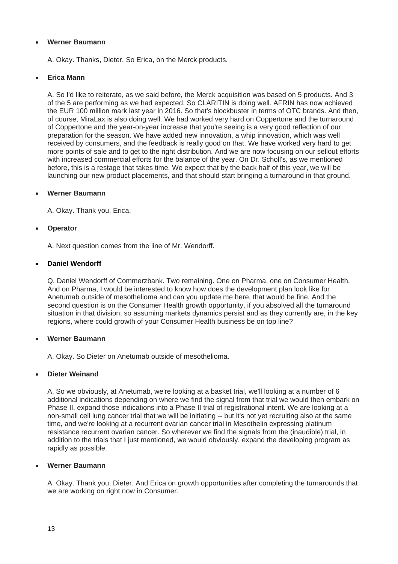A. Okay. Thanks, Dieter. So Erica, on the Merck products.

## **Erica Mann**

A. So I'd like to reiterate, as we said before, the Merck acquisition was based on 5 products. And 3 of the 5 are performing as we had expected. So CLARITIN is doing well. AFRIN has now achieved the EUR 100 million mark last year in 2016. So that's blockbuster in terms of OTC brands. And then, of course, MiraLax is also doing well. We had worked very hard on Coppertone and the turnaround of Coppertone and the year-on-year increase that you're seeing is a very good reflection of our preparation for the season. We have added new innovation, a whip innovation, which was well received by consumers, and the feedback is really good on that. We have worked very hard to get more points of sale and to get to the right distribution. And we are now focusing on our sellout efforts with increased commercial efforts for the balance of the year. On Dr. Scholl's, as we mentioned before, this is a restage that takes time. We expect that by the back half of this year, we will be launching our new product placements, and that should start bringing a turnaround in that ground.

## **Werner Baumann**

A. Okay. Thank you, Erica.

## **Operator**

A. Next question comes from the line of Mr. Wendorff.

## **Daniel Wendorff**

Q. Daniel Wendorff of Commerzbank. Two remaining. One on Pharma, one on Consumer Health. And on Pharma, I would be interested to know how does the development plan look like for Anetumab outside of mesothelioma and can you update me here, that would be fine. And the second question is on the Consumer Health growth opportunity, if you absolved all the turnaround situation in that division, so assuming markets dynamics persist and as they currently are, in the key regions, where could growth of your Consumer Health business be on top line?

#### **Werner Baumann**

A. Okay. So Dieter on Anetumab outside of mesothelioma.

#### **Dieter Weinand**

A. So we obviously, at Anetumab, we're looking at a basket trial, we'll looking at a number of 6 additional indications depending on where we find the signal from that trial we would then embark on Phase II, expand those indications into a Phase II trial of registrational intent. We are looking at a non-small cell lung cancer trial that we will be initiating -- but it's not yet recruiting also at the same time, and we're looking at a recurrent ovarian cancer trial in Mesothelin expressing platinum resistance recurrent ovarian cancer. So wherever we find the signals from the (inaudible) trial, in addition to the trials that I just mentioned, we would obviously, expand the developing program as rapidly as possible.

#### **Werner Baumann**

A. Okay. Thank you, Dieter. And Erica on growth opportunities after completing the turnarounds that we are working on right now in Consumer.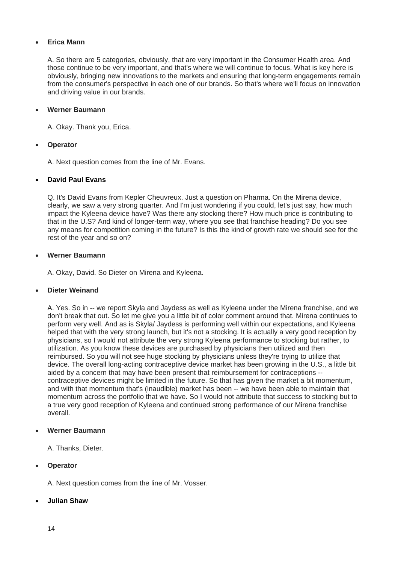## **Erica Mann**

A. So there are 5 categories, obviously, that are very important in the Consumer Health area. And those continue to be very important, and that's where we will continue to focus. What is key here is obviously, bringing new innovations to the markets and ensuring that long-term engagements remain from the consumer's perspective in each one of our brands. So that's where we'll focus on innovation and driving value in our brands.

#### **Werner Baumann**

A. Okay. Thank you, Erica.

## **Operator**

A. Next question comes from the line of Mr. Evans.

## **David Paul Evans**

Q. It's David Evans from Kepler Cheuvreux. Just a question on Pharma. On the Mirena device, clearly, we saw a very strong quarter. And I'm just wondering if you could, let's just say, how much impact the Kyleena device have? Was there any stocking there? How much price is contributing to that in the U.S? And kind of longer-term way, where you see that franchise heading? Do you see any means for competition coming in the future? Is this the kind of growth rate we should see for the rest of the year and so on?

## **Werner Baumann**

A. Okay, David. So Dieter on Mirena and Kyleena.

#### **Dieter Weinand**

A. Yes. So in -- we report Skyla and Jaydess as well as Kyleena under the Mirena franchise, and we don't break that out. So let me give you a little bit of color comment around that. Mirena continues to perform very well. And as is Skyla/ Jaydess is performing well within our expectations, and Kyleena helped that with the very strong launch, but it's not a stocking. It is actually a very good reception by physicians, so I would not attribute the very strong Kyleena performance to stocking but rather, to utilization. As you know these devices are purchased by physicians then utilized and then reimbursed. So you will not see huge stocking by physicians unless they're trying to utilize that device. The overall long-acting contraceptive device market has been growing in the U.S., a little bit aided by a concern that may have been present that reimbursement for contraceptions - contraceptive devices might be limited in the future. So that has given the market a bit momentum, and with that momentum that's (inaudible) market has been -- we have been able to maintain that momentum across the portfolio that we have. So I would not attribute that success to stocking but to a true very good reception of Kyleena and continued strong performance of our Mirena franchise overall.

#### **Werner Baumann**

A. Thanks, Dieter.

## **Operator**

A. Next question comes from the line of Mr. Vosser.

#### **Julian Shaw**